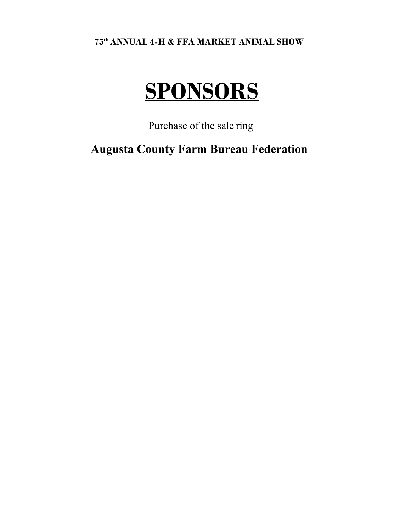**75th ANNUAL 4-H & FFA MARKET ANIMAL SHOW**

## **SPONSORS**

Purchase of the sale ring

**Augusta County Farm Bureau Federation**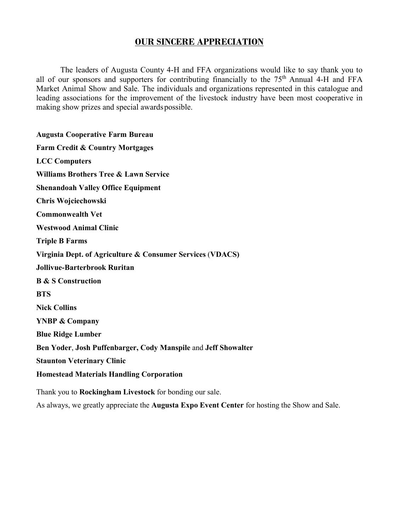## **OUR SINCERE APPRECIATION**

The leaders of Augusta County 4-H and FFA organizations would like to say thank you to all of our sponsors and supporters for contributing financially to the  $75<sup>th</sup>$  Annual 4-H and FFA Market Animal Show and Sale. The individuals and organizations represented in this catalogue and leading associations for the improvement of the livestock industry have been most cooperative in making show prizes and special awardspossible.

**Augusta Cooperative Farm Bureau Farm Credit & Country Mortgages LCC Computers Williams Brothers Tree & Lawn Service Shenandoah Valley Office Equipment Chris Wojciechowski Commonwealth Vet Westwood Animal Clinic Triple B Farms Virginia Dept. of Agriculture & Consumer Services** (**VDACS) Jollivue-Barterbrook Ruritan B & S Construction BTS Nick Collins YNBP & Company Blue Ridge Lumber Ben Yoder**, **Josh Puffenbarger, Cody Manspile** and **Jeff Showalter Staunton Veterinary Clinic Homestead Materials Handling Corporation** Thank you to **Rockingham Livestock** for bonding our sale.

As always, we greatly appreciate the **Augusta Expo Event Center** for hosting the Show and Sale.